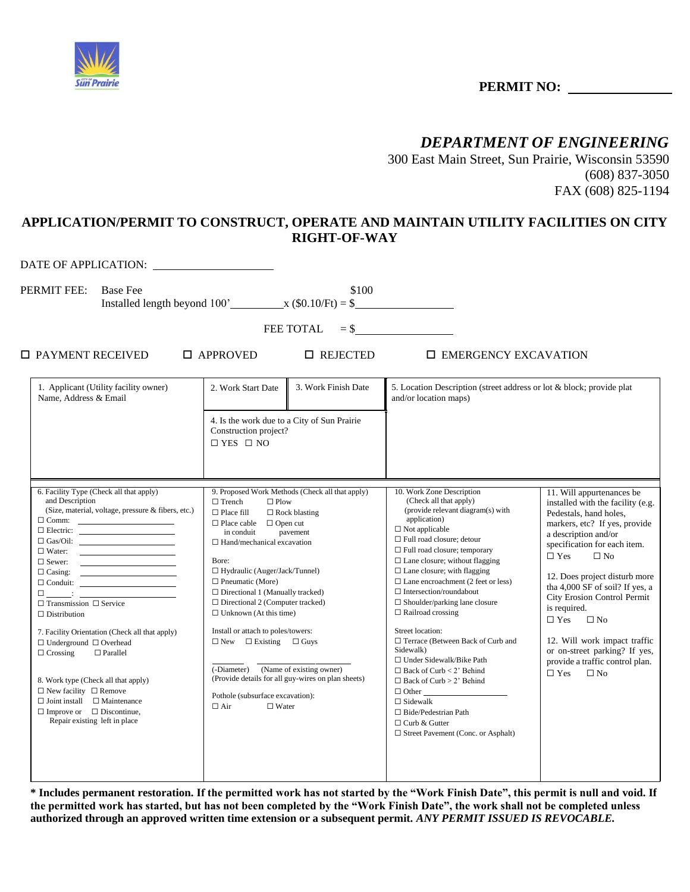

## **PERMIT NO:**

## *DEPARTMENT OF ENGINEERING*

300 East Main Street, Sun Prairie, Wisconsin 53590 (608) 837-3050 FAX (608) 825-1194

## **APPLICATION/PERMIT TO CONSTRUCT, OPERATE AND MAINTAIN UTILITY FACILITIES ON CITY RIGHT-OF-WAY**

DATE OF APPLICATION:

PERMIT FEE: Base Fee \$100

Installed length beyond  $100'$   $x$  (\$0.10/Ft) = \$

FEE TOTAL  $= $$ 

PAYMENT RECEIVED APPROVED REJECTED EMERGENCY EXCAVATION

| 1. Applicant (Utility facility owner)<br>Name, Address & Email                                                                                                                                                                                                                                                                                                                                                                                                                                                                                                                                                                                                                                                                                                                                                                                                                                                                                                                                                                                                                                                                                                                                                                                                                                                                                                                                                                                                                                                                                                                                                    | 2. Work Start Date<br>4. Is the work due to a City of Sun Prairie<br>Construction project?<br>$\Box$ YES $\Box$ NO                                                                                                                                                                                                                                                                                                                                                                                                | 3. Work Finish Date                                                                                                                                                   | 5. Location Description (street address or lot & block; provide plat<br>and/or location maps)                                                                                                                                                                                                                                                                                                                                                                                                                                                                                                                                                                                                                                                                        |                                                                                                                                                                                                                                                                                                                                                                                                                                                                                              |
|-------------------------------------------------------------------------------------------------------------------------------------------------------------------------------------------------------------------------------------------------------------------------------------------------------------------------------------------------------------------------------------------------------------------------------------------------------------------------------------------------------------------------------------------------------------------------------------------------------------------------------------------------------------------------------------------------------------------------------------------------------------------------------------------------------------------------------------------------------------------------------------------------------------------------------------------------------------------------------------------------------------------------------------------------------------------------------------------------------------------------------------------------------------------------------------------------------------------------------------------------------------------------------------------------------------------------------------------------------------------------------------------------------------------------------------------------------------------------------------------------------------------------------------------------------------------------------------------------------------------|-------------------------------------------------------------------------------------------------------------------------------------------------------------------------------------------------------------------------------------------------------------------------------------------------------------------------------------------------------------------------------------------------------------------------------------------------------------------------------------------------------------------|-----------------------------------------------------------------------------------------------------------------------------------------------------------------------|----------------------------------------------------------------------------------------------------------------------------------------------------------------------------------------------------------------------------------------------------------------------------------------------------------------------------------------------------------------------------------------------------------------------------------------------------------------------------------------------------------------------------------------------------------------------------------------------------------------------------------------------------------------------------------------------------------------------------------------------------------------------|----------------------------------------------------------------------------------------------------------------------------------------------------------------------------------------------------------------------------------------------------------------------------------------------------------------------------------------------------------------------------------------------------------------------------------------------------------------------------------------------|
| 6. Facility Type (Check all that apply)<br>and Description<br>(Size, material, voltage, pressure & fibers, etc.)<br>$\Box$ Electric: $\qquad \qquad$<br>$\Box$ Water:<br>$\Box$ Sewer:<br>$\begin{tabular}{ c c c } \hline \rule{.8cm}{.4cm} \rule{.8cm}{.4cm} \rule{.8cm}{.4cm} \rule{.8cm}{.4cm} \rule{.8cm}{.4cm} \rule{.8cm}{.4cm} \rule{.8cm}{.4cm} \rule{.8cm}{.4cm} \rule{.8cm}{.4cm} \rule{.8cm}{.4cm} \rule{.8cm}{.4cm} \rule{.8cm}{.4cm} \rule{.8cm}{.4cm} \rule{.8cm}{.4cm} \rule{.8cm}{.4cm} \rule{.8cm}{.4cm} \rule{.8cm}{.4cm} \rule{.8cm}{.4cm} \rule{.8$<br>$\Box \underline{\hspace{1cm}} \underline{\hspace{1cm}} \underline{\hspace{1cm}} \underline{\hspace{1cm}} \underline{\hspace{1cm}} \underline{\hspace{1cm}} \underline{\hspace{1cm}} \underline{\hspace{1cm}} \underline{\hspace{1cm}} \underline{\hspace{1cm}} \underline{\hspace{1cm}} \underline{\hspace{1cm}} \underline{\hspace{1cm}} \underline{\hspace{1cm}} \underline{\hspace{1cm}} \underline{\hspace{1cm}} \underline{\hspace{1cm}} \underline{\hspace{1cm}} \underline{\hspace{1cm}} \underline{\hspace{1cm}} \underline{\hspace{1cm}} \underline{\hspace{1cm}} \underline{\hspace{1cm}} \underline{\hspace{1cm}} \underline$<br>$\Box$ Transmission $\Box$ Service<br>$\Box$ Distribution<br>7. Facility Orientation (Check all that apply)<br>$\Box$ Underground $\Box$ Overhead<br>$\Box$ Crossing<br>$\Box$ Parallel<br>8. Work type (Check all that apply)<br>$\Box$ New facility $\Box$ Remove<br>$\Box$ Joint install $\Box$ Maintenance<br>$\Box$ Improve or $\Box$ Discontinue,<br>Repair existing left in place | $\Box$ Trench<br>$\Box$ Plow<br>$\Box$ Place fill<br>$\Box$ Place cable<br>$\Box$ Open cut<br>in conduit<br>$\Box$ Hand/mechanical excavation<br>Bore:<br>$\Box$ Hydraulic (Auger/Jack/Tunnel)<br>$\Box$ Pneumatic (More)<br>$\Box$ Directional 1 (Manually tracked)<br>$\Box$ Directional 2 (Computer tracked)<br>$\Box$ Unknown (At this time)<br>Install or attach to poles/towers:<br>$\Box$ New $\Box$ Existing $\Box$ Guys<br>(-Diameter)<br>Pothole (subsurface excavation):<br>$\Box$ Air<br>$\Box$ Water | 9. Proposed Work Methods (Check all that apply)<br>$\Box$ Rock blasting<br>pavement<br>(Name of existing owner)<br>(Provide details for all guy-wires on plan sheets) | 10. Work Zone Description<br>(Check all that apply)<br>(provide relevant diagram(s) with<br>application)<br>$\Box$ Not applicable<br>□ Full road closure; detour<br>$\Box$ Full road closure; temporary<br>$\square$ Lane closure; without flagging<br>$\Box$ Lane closure; with flagging<br>$\Box$ Lane encroachment (2 feet or less)<br>$\Box$ Intersection/roundabout<br>$\Box$ Shoulder/parking lane closure<br>$\Box$ Railroad crossing<br>Street location:<br>□ Terrace (Between Back of Curb and<br>Sidewalk)<br>$\Box$ Under Sidewalk/Bike Path<br>$\Box$ Back of Curb < 2' Behind<br>$\Box$ Back of Curb > 2' Behind<br>$\Box$ Other<br>$\Box$ Sidewalk<br>$\Box$ Bide/Pedestrian Path<br>$\Box$ Curb & Gutter<br>$\Box$ Street Pavement (Conc. or Asphalt) | 11. Will appurtenances be<br>installed with the facility (e.g.<br>Pedestals, hand holes,<br>markers, etc? If yes, provide<br>a description and/or<br>specification for each item.<br>$\square$ Yes<br>$\Box$ No<br>12. Does project disturb more<br>tha 4,000 SF of soil? If yes, a<br>City Erosion Control Permit<br>is required.<br>$\Box$ No<br>$\Box$ Yes<br>12. Will work impact traffic<br>or on-street parking? If yes,<br>provide a traffic control plan.<br>$\Box$ Yes<br>$\Box$ No |

**\* Includes permanent restoration. If the permitted work has not started by the "Work Finish Date", this permit is null and void. If the permitted work has started, but has not been completed by the "Work Finish Date", the work shall not be completed unless authorized through an approved written time extension or a subsequent permit.** *ANY PERMIT ISSUED IS REVOCABLE.*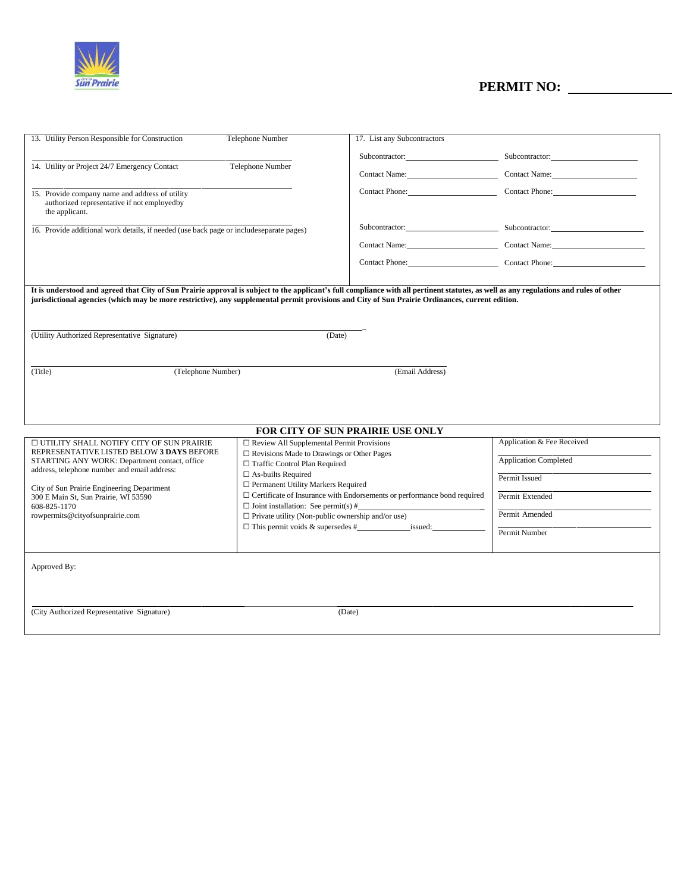

# **PERMIT NO:**

| 13. Utility Person Responsible for Construction                                                                                                                                                                                                                                                                                            | Telephone Number                                                          | 17. List any Subcontractors                                                    |                                              |  |  |  |
|--------------------------------------------------------------------------------------------------------------------------------------------------------------------------------------------------------------------------------------------------------------------------------------------------------------------------------------------|---------------------------------------------------------------------------|--------------------------------------------------------------------------------|----------------------------------------------|--|--|--|
|                                                                                                                                                                                                                                                                                                                                            |                                                                           |                                                                                | Subcontractor: Subcontractor: Subcontractor: |  |  |  |
| 14. Utility or Project 24/7 Emergency Contact                                                                                                                                                                                                                                                                                              | Telephone Number                                                          |                                                                                | Contact Name: Contact Name: Contact Name:    |  |  |  |
|                                                                                                                                                                                                                                                                                                                                            |                                                                           |                                                                                |                                              |  |  |  |
| 15. Provide company name and address of utility<br>authorized representative if not employedby<br>the applicant.                                                                                                                                                                                                                           |                                                                           |                                                                                | Contact Phone: Contact Phone:                |  |  |  |
| 16. Provide additional work details, if needed (use back page or includeseparate pages)                                                                                                                                                                                                                                                    |                                                                           |                                                                                | Subcontractor: Subcontractor: Subcontractor: |  |  |  |
|                                                                                                                                                                                                                                                                                                                                            |                                                                           |                                                                                | Contact Name: Contact Name: Contact Name:    |  |  |  |
|                                                                                                                                                                                                                                                                                                                                            |                                                                           |                                                                                | Contact Phone: Contact Phone:                |  |  |  |
|                                                                                                                                                                                                                                                                                                                                            |                                                                           |                                                                                |                                              |  |  |  |
| It is understood and agreed that City of Sun Prairie approval is subject to the applicant's full compliance with all pertinent statutes, as well as any regulations and rules of other<br>jurisdictional agencies (which may be more restrictive), any supplemental permit provisions and City of Sun Prairie Ordinances, current edition. |                                                                           |                                                                                |                                              |  |  |  |
|                                                                                                                                                                                                                                                                                                                                            |                                                                           |                                                                                |                                              |  |  |  |
|                                                                                                                                                                                                                                                                                                                                            |                                                                           |                                                                                |                                              |  |  |  |
| (Utility Authorized Representative Signature)                                                                                                                                                                                                                                                                                              | (Date)                                                                    |                                                                                |                                              |  |  |  |
|                                                                                                                                                                                                                                                                                                                                            |                                                                           |                                                                                |                                              |  |  |  |
|                                                                                                                                                                                                                                                                                                                                            |                                                                           |                                                                                |                                              |  |  |  |
| (Title)<br>(Telephone Number)                                                                                                                                                                                                                                                                                                              |                                                                           | (Email Address)                                                                |                                              |  |  |  |
|                                                                                                                                                                                                                                                                                                                                            |                                                                           |                                                                                |                                              |  |  |  |
|                                                                                                                                                                                                                                                                                                                                            |                                                                           |                                                                                |                                              |  |  |  |
|                                                                                                                                                                                                                                                                                                                                            |                                                                           |                                                                                |                                              |  |  |  |
| FOR CITY OF SUN PRAIRIE USE ONLY                                                                                                                                                                                                                                                                                                           |                                                                           |                                                                                |                                              |  |  |  |
| □ UTILITY SHALL NOTIFY CITY OF SUN PRAIRIE                                                                                                                                                                                                                                                                                                 | $\Box$ Review All Supplemental Permit Provisions                          |                                                                                | Application & Fee Received                   |  |  |  |
| REPRESENTATIVE LISTED BELOW 3 DAYS BEFORE                                                                                                                                                                                                                                                                                                  | $\Box$ Revisions Made to Drawings or Other Pages                          |                                                                                | <b>Application Completed</b>                 |  |  |  |
| STARTING ANY WORK: Department contact, office<br>address, telephone number and email address:                                                                                                                                                                                                                                              | □ Traffic Control Plan Required                                           |                                                                                |                                              |  |  |  |
|                                                                                                                                                                                                                                                                                                                                            | $\square$ As-builts Required<br>$\Box$ Permanent Utility Markers Required |                                                                                | Permit Issued                                |  |  |  |
| City of Sun Prairie Engineering Department<br>300 E Main St, Sun Prairie, WI 53590                                                                                                                                                                                                                                                         |                                                                           | $\Box$ Certificate of Insurance with Endorsements or performance bond required | Permit Extended                              |  |  |  |
| 608-825-1170                                                                                                                                                                                                                                                                                                                               |                                                                           | $\Box$ Joint installation: See permit(s) #                                     |                                              |  |  |  |
| rowpermits@cityofsunprairie.com                                                                                                                                                                                                                                                                                                            | $\Box$ Private utility (Non-public ownership and/or use)                  |                                                                                | Permit Amended                               |  |  |  |
|                                                                                                                                                                                                                                                                                                                                            |                                                                           |                                                                                | Permit Number                                |  |  |  |
|                                                                                                                                                                                                                                                                                                                                            |                                                                           |                                                                                |                                              |  |  |  |
|                                                                                                                                                                                                                                                                                                                                            |                                                                           |                                                                                |                                              |  |  |  |
| Approved By:                                                                                                                                                                                                                                                                                                                               |                                                                           |                                                                                |                                              |  |  |  |
|                                                                                                                                                                                                                                                                                                                                            |                                                                           |                                                                                |                                              |  |  |  |
|                                                                                                                                                                                                                                                                                                                                            |                                                                           |                                                                                |                                              |  |  |  |
| (City Authorized Representative Signature)<br>(Date)                                                                                                                                                                                                                                                                                       |                                                                           |                                                                                |                                              |  |  |  |
|                                                                                                                                                                                                                                                                                                                                            |                                                                           |                                                                                |                                              |  |  |  |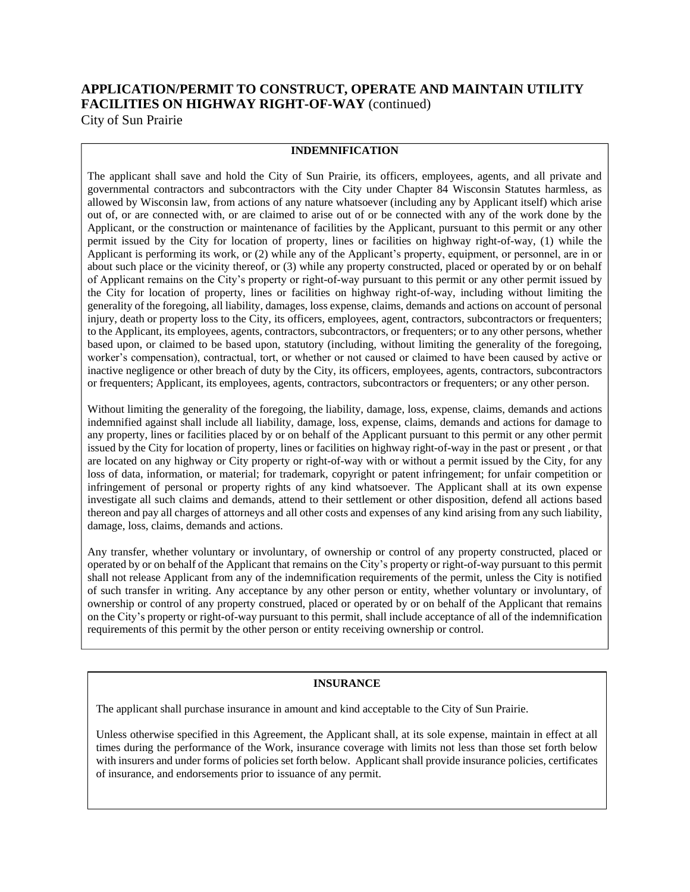### **APPLICATION/PERMIT TO CONSTRUCT, OPERATE AND MAINTAIN UTILITY FACILITIES ON HIGHWAY RIGHT-OF-WAY** (continued) City of Sun Prairie

### **INDEMNIFICATION**

The applicant shall save and hold the City of Sun Prairie, its officers, employees, agents, and all private and governmental contractors and subcontractors with the City under Chapter 84 Wisconsin Statutes harmless, as allowed by Wisconsin law, from actions of any nature whatsoever (including any by Applicant itself) which arise out of, or are connected with, or are claimed to arise out of or be connected with any of the work done by the Applicant, or the construction or maintenance of facilities by the Applicant, pursuant to this permit or any other permit issued by the City for location of property, lines or facilities on highway right-of-way, (1) while the Applicant is performing its work, or (2) while any of the Applicant's property, equipment, or personnel, are in or about such place or the vicinity thereof, or (3) while any property constructed, placed or operated by or on behalf of Applicant remains on the City's property or right-of-way pursuant to this permit or any other permit issued by the City for location of property, lines or facilities on highway right-of-way, including without limiting the generality of the foregoing, all liability, damages, loss expense, claims, demands and actions on account of personal injury, death or property loss to the City, its officers, employees, agent, contractors, subcontractors or frequenters; to the Applicant, its employees, agents, contractors, subcontractors, or frequenters; or to any other persons, whether based upon, or claimed to be based upon, statutory (including, without limiting the generality of the foregoing, worker's compensation), contractual, tort, or whether or not caused or claimed to have been caused by active or inactive negligence or other breach of duty by the City, its officers, employees, agents, contractors, subcontractors or frequenters; Applicant, its employees, agents, contractors, subcontractors or frequenters; or any other person.

Without limiting the generality of the foregoing, the liability, damage, loss, expense, claims, demands and actions indemnified against shall include all liability, damage, loss, expense, claims, demands and actions for damage to any property, lines or facilities placed by or on behalf of the Applicant pursuant to this permit or any other permit issued by the City for location of property, lines or facilities on highway right-of-way in the past or present , or that are located on any highway or City property or right-of-way with or without a permit issued by the City, for any loss of data, information, or material; for trademark, copyright or patent infringement; for unfair competition or infringement of personal or property rights of any kind whatsoever. The Applicant shall at its own expense investigate all such claims and demands, attend to their settlement or other disposition, defend all actions based thereon and pay all charges of attorneys and all other costs and expenses of any kind arising from any such liability, damage, loss, claims, demands and actions.

Any transfer, whether voluntary or involuntary, of ownership or control of any property constructed, placed or operated by or on behalf of the Applicant that remains on the City's property or right-of-way pursuant to this permit shall not release Applicant from any of the indemnification requirements of the permit, unless the City is notified of such transfer in writing. Any acceptance by any other person or entity, whether voluntary or involuntary, of ownership or control of any property construed, placed or operated by or on behalf of the Applicant that remains on the City's property or right-of-way pursuant to this permit, shall include acceptance of all of the indemnification requirements of this permit by the other person or entity receiving ownership or control.

#### **INSURANCE**

The applicant shall purchase insurance in amount and kind acceptable to the City of Sun Prairie.

Unless otherwise specified in this Agreement, the Applicant shall, at its sole expense, maintain in effect at all times during the performance of the Work, insurance coverage with limits not less than those set forth below with insurers and under forms of policies set forth below. Applicant shall provide insurance policies, certificates of insurance, and endorsements prior to issuance of any permit.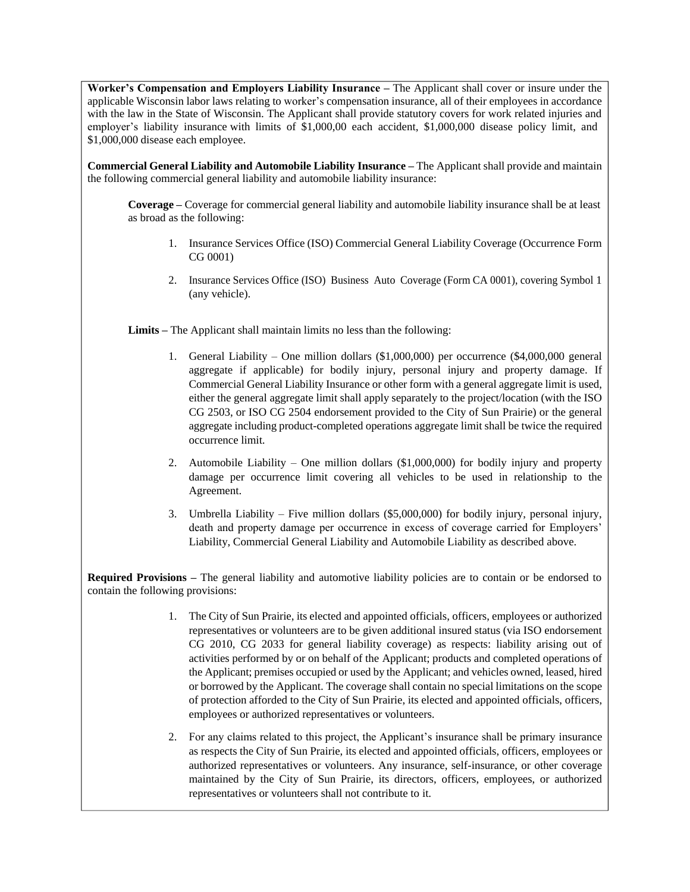**Worker's Compensation and Employers Liability Insurance –** The Applicant shall cover or insure under the applicable Wisconsin labor laws relating to worker's compensation insurance, all of their employees in accordance with the law in the State of Wisconsin. The Applicant shall provide statutory covers for work related injuries and employer's liability insurance with limits of \$1,000,00 each accident, \$1,000,000 disease policy limit, and \$1,000,000 disease each employee.

**Commercial General Liability and Automobile Liability Insurance –** The Applicant shall provide and maintain the following commercial general liability and automobile liability insurance:

**Coverage –** Coverage for commercial general liability and automobile liability insurance shall be at least as broad as the following:

- 1. Insurance Services Office (ISO) Commercial General Liability Coverage (Occurrence Form CG 0001)
- 2. Insurance Services Office (ISO) Business Auto Coverage (Form CA 0001), covering Symbol 1 (any vehicle).

**Limits –** The Applicant shall maintain limits no less than the following:

- 1. General Liability One million dollars (\$1,000,000) per occurrence (\$4,000,000 general aggregate if applicable) for bodily injury, personal injury and property damage. If Commercial General Liability Insurance or other form with a general aggregate limit is used, either the general aggregate limit shall apply separately to the project/location (with the ISO CG 2503, or ISO CG 2504 endorsement provided to the City of Sun Prairie) or the general aggregate including product-completed operations aggregate limit shall be twice the required occurrence limit.
- 2. Automobile Liability One million dollars (\$1,000,000) for bodily injury and property damage per occurrence limit covering all vehicles to be used in relationship to the Agreement.
- 3. Umbrella Liability Five million dollars (\$5,000,000) for bodily injury, personal injury, death and property damage per occurrence in excess of coverage carried for Employers' Liability, Commercial General Liability and Automobile Liability as described above.

**Required Provisions –** The general liability and automotive liability policies are to contain or be endorsed to contain the following provisions:

- 1. The City of Sun Prairie, its elected and appointed officials, officers, employees or authorized representatives or volunteers are to be given additional insured status (via ISO endorsement CG 2010, CG 2033 for general liability coverage) as respects: liability arising out of activities performed by or on behalf of the Applicant; products and completed operations of the Applicant; premises occupied or used by the Applicant; and vehicles owned, leased, hired or borrowed by the Applicant. The coverage shall contain no special limitations on the scope of protection afforded to the City of Sun Prairie, its elected and appointed officials, officers, employees or authorized representatives or volunteers.
- 2. For any claims related to this project, the Applicant's insurance shall be primary insurance as respects the City of Sun Prairie, its elected and appointed officials, officers, employees or authorized representatives or volunteers. Any insurance, self-insurance, or other coverage maintained by the City of Sun Prairie, its directors, officers, employees, or authorized representatives or volunteers shall not contribute to it.